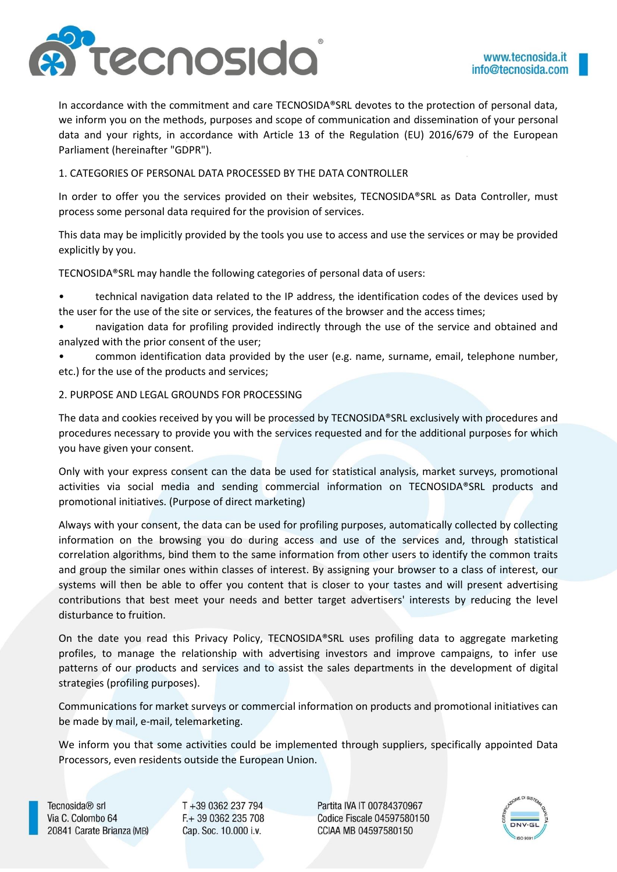

In accordance with the commitment and care TECNOSIDA®SRL devotes to the protection of personal data, we inform you on the methods, purposes and scope of communication and dissemination of your personal data and your rights, in accordance with Article 13 of the Regulation (EU) 2016/679 of the European Parliament (hereinafter "GDPR").

## 1. CATEGORIES OF PERSONAL DATA PROCESSED BY THE DATA CONTROLLER

In order to offer you the services provided on their websites, TECNOSIDA®SRL as Data Controller, must process some personal data required for the provision of services.

This data may be implicitly provided by the tools you use to access and use the services or may be provided explicitly by you.

TECNOSIDA®SRL may handle the following categories of personal data of users:

- technical navigation data related to the IP address, the identification codes of the devices used by the user for the use of the site or services, the features of the browser and the access times;
- navigation data for profiling provided indirectly through the use of the service and obtained and analyzed with the prior consent of the user;
- common identification data provided by the user (e.g. name, surname, email, telephone number, etc.) for the use of the products and services;

# 2. PURPOSE AND LEGAL GROUNDS FOR PROCESSING

The data and cookies received by you will be processed by TECNOSIDA®SRL exclusively with procedures and procedures necessary to provide you with the services requested and for the additional purposes for which you have given your consent.

Only with your express consent can the data be used for statistical analysis, market surveys, promotional activities via social media and sending commercial information on TECNOSIDA®SRL products and promotional initiatives. (Purpose of direct marketing)

Always with your consent, the data can be used for profiling purposes, automatically collected by collecting information on the browsing you do during access and use of the services and, through statistical correlation algorithms, bind them to the same information from other users to identify the common traits and group the similar ones within classes of interest. By assigning your browser to a class of interest, our systems will then be able to offer you content that is closer to your tastes and will present advertising contributions that best meet your needs and better target advertisers' interests by reducing the level disturbance to fruition.

On the date you read this Privacy Policy, TECNOSIDA®SRL uses profiling data to aggregate marketing profiles, to manage the relationship with advertising investors and improve campaigns, to infer use patterns of our products and services and to assist the sales departments in the development of digital strategies (profiling purposes).

Communications for market surveys or commercial information on products and promotional initiatives can be made by mail, e-mail, telemarketing.

We inform you that some activities could be implemented through suppliers, specifically appointed Data Processors, even residents outside the European Union.

Tecnosida<sup>®</sup> srl Via C. Colombo 64 20841 Carate Brianza (MB) T +39 0362 237 794 F.+ 39 0362 235 708 Cap. Soc. 10.000 i.v.

Partita IVA IT 00784370967 Codice Fiscale 04597580150 CCIAA MB 04597580150

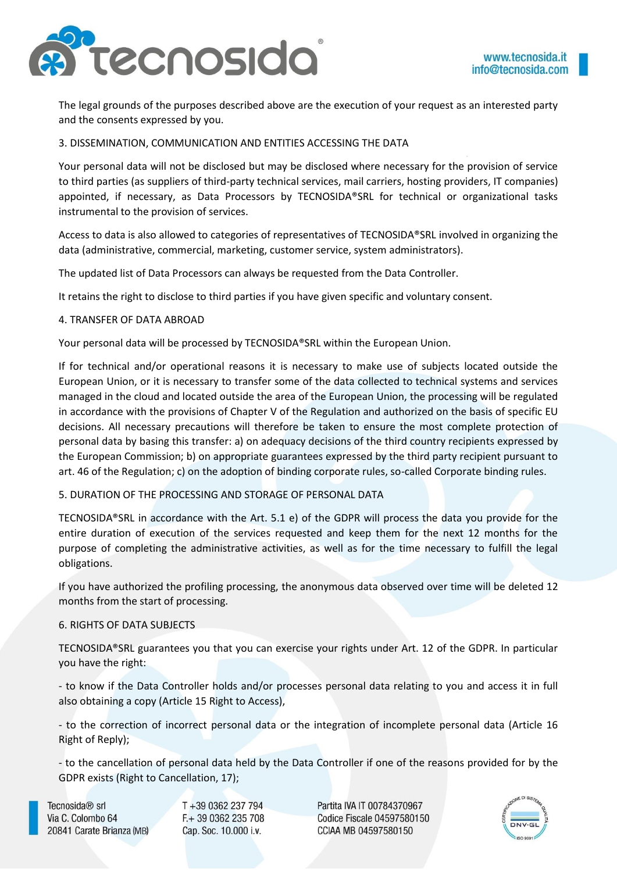

The legal grounds of the purposes described above are the execution of your request as an interested party and the consents expressed by you.

3. DISSEMINATION, COMMUNICATION AND ENTITIES ACCESSING THE DATA

Your personal data will not be disclosed but may be disclosed where necessary for the provision of service to third parties (as suppliers of third-party technical services, mail carriers, hosting providers, IT companies) appointed, if necessary, as Data Processors by TECNOSIDA®SRL for technical or organizational tasks instrumental to the provision of services.

Access to data is also allowed to categories of representatives of TECNOSIDA®SRL involved in organizing the data (administrative, commercial, marketing, customer service, system administrators).

The updated list of Data Processors can always be requested from the Data Controller.

It retains the right to disclose to third parties if you have given specific and voluntary consent.

### 4. TRANSFER OF DATA ABROAD

Your personal data will be processed by TECNOSIDA®SRL within the European Union.

If for technical and/or operational reasons it is necessary to make use of subjects located outside the European Union, or it is necessary to transfer some of the data collected to technical systems and services managed in the cloud and located outside the area of the European Union, the processing will be regulated in accordance with the provisions of Chapter V of the Regulation and authorized on the basis of specific EU decisions. All necessary precautions will therefore be taken to ensure the most complete protection of personal data by basing this transfer: a) on adequacy decisions of the third country recipients expressed by the European Commission; b) on appropriate guarantees expressed by the third party recipient pursuant to art. 46 of the Regulation; c) on the adoption of binding corporate rules, so-called Corporate binding rules.

### 5. DURATION OF THE PROCESSING AND STORAGE OF PERSONAL DATA

TECNOSIDA®SRL in accordance with the Art. 5.1 e) of the GDPR will process the data you provide for the entire duration of execution of the services requested and keep them for the next 12 months for the purpose of completing the administrative activities, as well as for the time necessary to fulfill the legal obligations.

If you have authorized the profiling processing, the anonymous data observed over time will be deleted 12 months from the start of processing.

### 6. RIGHTS OF DATA SUBJECTS

TECNOSIDA®SRL guarantees you that you can exercise your rights under Art. 12 of the GDPR. In particular you have the right:

- to know if the Data Controller holds and/or processes personal data relating to you and access it in full also obtaining a copy (Article 15 Right to Access),

- to the correction of incorrect personal data or the integration of incomplete personal data (Article 16 Right of Reply);

- to the cancellation of personal data held by the Data Controller if one of the reasons provided for by the GDPR exists (Right to Cancellation, 17);

Tecnosida<sup>®</sup> srl Via C. Colombo 64 20841 Carate Brianza (MB) T+39 0362 237 794 F.+ 39 0362 235 708 Cap. Soc. 10.000 i.v.

Partita IVA IT 00784370967 Codice Fiscale 04597580150 CCIAA MB 04597580150